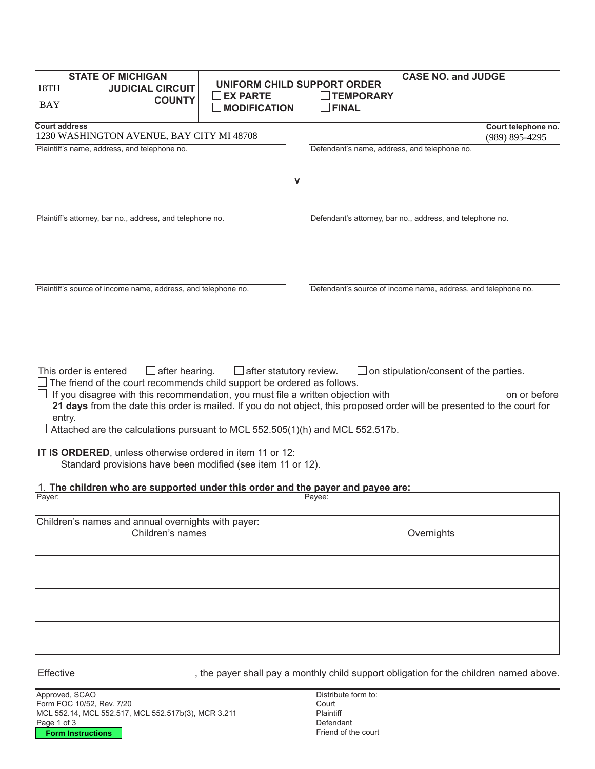| <b>STATE OF MICHIGAN</b><br>18TH<br><b>JUDICIAL CIRCUIT</b><br><b>BAY</b> | <b>EX PARTE</b><br><b>COUNTY</b><br><b>MODIFICATION</b> |   | UNIFORM CHILD SUPPORT ORDER<br><b>TEMPORARY</b><br>$\Box$ FINAL | <b>CASE NO. and JUDGE</b>                                     |
|---------------------------------------------------------------------------|---------------------------------------------------------|---|-----------------------------------------------------------------|---------------------------------------------------------------|
| <b>Court address</b><br>1230 WASHINGTON AVENUE, BAY CITY MI 48708         |                                                         |   |                                                                 | Court telephone no.<br>$(989)$ 895-4295                       |
| Plaintiff's name, address, and telephone no.                              |                                                         | v | Defendant's name, address, and telephone no.                    |                                                               |
| Plaintiff's attorney, bar no., address, and telephone no.                 |                                                         |   |                                                                 | Defendant's attorney, bar no., address, and telephone no.     |
| Plaintiff's source of income name, address, and telephone no.             |                                                         |   |                                                                 | Defendant's source of income name, address, and telephone no. |

This order is entered  $\square$  after hearing.  $\square$  after statutory review.  $\square$  on stipulation/consent of the parties.  $\Box$  The friend of the court recommends child support be ordered as follows.

 $\Box$  If you disagree with this recommendation, you must file a written objection with  $\Box$   $\Box$   $\Box$   $\Box$  on or before **21 days** from the date this order is mailed. If you do not object, this proposed order will be presented to the court for entry.

 $\Box$  Attached are the calculations pursuant to MCL 552.505(1)(h) and MCL 552.517b.

**IT IS ORDERED**, unless otherwise ordered in item 11 or 12:

 $\Box$  Standard provisions have been modified (see item 11 or 12).

## 1. The children who are supported under this order and the payer and payee are:

| Payer:                                             | Payee:     |
|----------------------------------------------------|------------|
|                                                    |            |
| Children's names and annual overnights with payer: |            |
| Children's names                                   | Overnights |
|                                                    |            |
|                                                    |            |
|                                                    |            |
|                                                    |            |
|                                                    |            |
|                                                    |            |
|                                                    |            |
|                                                    |            |
|                                                    |            |
|                                                    |            |

Effective \_\_\_\_\_\_\_\_\_\_\_\_\_\_\_\_\_\_\_\_\_\_\_\_\_\_, the payer shall pay a monthly child support obligation for the children named above.

Approved, SCAO Form FOC 10/52, Rev. 7/20 MCL 552.14, MCL 552.517, MCL 552.517b(3), MCR 3.211 Page 1 of 3 **Form Instructions**

Distribute form to: Court Plaintiff Defendant Friend of the court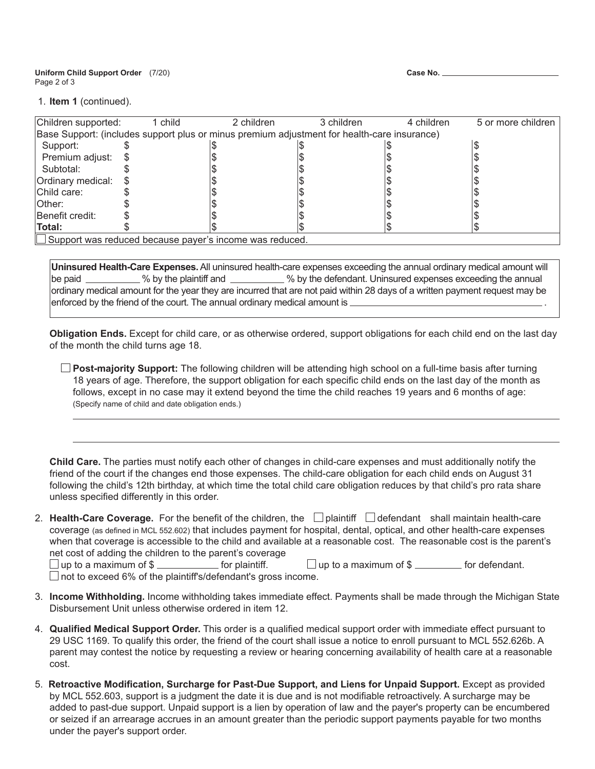**Uniform Child Support Order** (7/20) Page 2 of 3

| Case No. |  |  |
|----------|--|--|
|----------|--|--|

1. **Item 1** (continued).

| Children supported:                                                                         | 1 child | 2 children | 3 children | 4 children | 5 or more children |
|---------------------------------------------------------------------------------------------|---------|------------|------------|------------|--------------------|
| Base Support: (includes support plus or minus premium adjustment for health-care insurance) |         |            |            |            |                    |
| Support:                                                                                    |         |            |            |            |                    |
| Premium adjust:                                                                             |         |            |            |            |                    |
| Subtotal:                                                                                   |         |            |            |            |                    |
| Ordinary medical: \$                                                                        |         |            |            |            |                    |
| Child care:                                                                                 |         |            |            |            |                    |
| <b>Other:</b>                                                                               |         |            |            |            |                    |
| Benefit credit:                                                                             |         |            |            |            |                    |
| Total:                                                                                      |         |            |            |            |                    |
| $\Box$ Support was reduced because payer's income was reduced.                              |         |            |            |            |                    |

**Uninsured Health-Care Expenses.** All uninsured health-care expenses exceeding the annual ordinary medical amount will be paid \_\_\_\_\_\_\_\_\_\_% by the plaintiff and \_\_\_\_\_\_\_\_\_\_\_% by the defendant. Uninsured expenses exceeding the annual ordinary medical amount for the year they are incurred that are not paid within 28 days of a written payment request may be enforced by the friend of the court. The annual ordinary medical amount is \_\_\_

**Obligation Ends.** Except for child care, or as otherwise ordered, support obligations for each child end on the last day of the month the child turns age 18.

 **Post-majority Support:** The following children will be attending high school on a full-time basis after turning 18 years of age. Therefore, the support obligation for each specific child ends on the last day of the month as follows, except in no case may it extend beyond the time the child reaches 19 years and 6 months of age: (Specify name of child and date obligation ends.)

**Child Care.** The parties must notify each other of changes in child-care expenses and must additionally notify the friend of the court if the changes end those expenses. The child-care obligation for each child ends on August 31 following the child's 12th birthday, at which time the total child care obligation reduces by that child's pro rata share unless specified differently in this order.

2. **Health-Care Coverage.** For the benefit of the children, the  $\Box$  plaintiff  $\Box$  defendant shall maintain health-care coverage (as defined in MCL 552.602) that includes payment for hospital, dental, optical, and other health-care expenses when that coverage is accessible to the child and available at a reasonable cost. The reasonable cost is the parent's net cost of adding the children to the parent's coverage

 $\Box$  up to a maximum of \$  $\Box$  for plaintiff.  $\Box$  up to a maximum of \$  $\Box$  for defendant.  $\Box$  not to exceed 6% of the plaintiff's/defendant's gross income.

- 3. **Income Withholding.** Income withholding takes immediate effect. Payments shall be made through the Michigan State Disbursement Unit unless otherwise ordered in item 12.
- 4. **Qualified Medical Support Order.** This order is a qualified medical support order with immediate effect pursuant to 29 USC 1169. To qualify this order, the friend of the court shall issue a notice to enroll pursuant to MCL 552.626b. A parent may contest the notice by requesting a review or hearing concerning availability of health care at a reasonable cost.
- 5. **Retroactive Modification, Surcharge for Past-Due Support, and Liens for Unpaid Support.** Except as provided by MCL 552.603, support is a judgment the date it is due and is not modifiable retroactively. A surcharge may be added to past-due support. Unpaid support is a lien by operation of law and the payer's property can be encumbered or seized if an arrearage accrues in an amount greater than the periodic support payments payable for two months under the payer's support order.